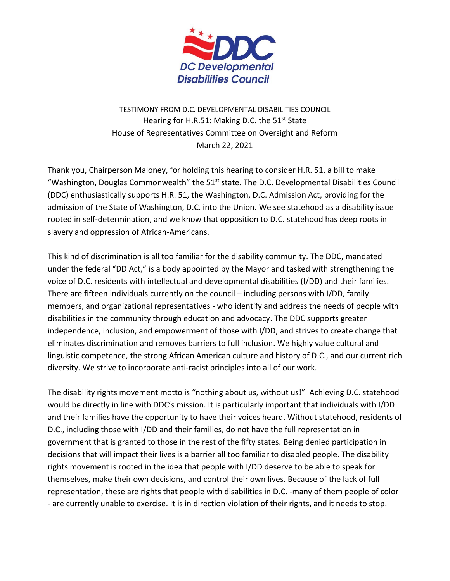

TESTIMONY FROM D.C. DEVELOPMENTAL DISABILITIES COUNCIL Hearing for H.R.51: Making D.C. the  $51<sup>st</sup>$  State House of Representatives Committee on Oversight and Reform March 22, 2021

Thank you, Chairperson Maloney, for holding this hearing to consider H.R. 51, a bill to make "Washington, Douglas Commonwealth" the 51<sup>st</sup> state. The D.C. Developmental Disabilities Council (DDC) enthusiastically supports H.R. 51, the Washington, D.C. Admission Act, providing for the admission of the State of Washington, D.C. into the Union. We see statehood as a disability issue rooted in self-determination, and we know that opposition to D.C. statehood has deep roots in slavery and oppression of African-Americans.

This kind of discrimination is all too familiar for the disability community. The DDC, mandated under the federal "DD Act," is a body appointed by the Mayor and tasked with strengthening the voice of D.C. residents with intellectual and developmental disabilities (I/DD) and their families. There are fifteen individuals currently on the council – including persons with I/DD, family members, and organizational representatives - who identify and address the needs of people with disabilities in the community through education and advocacy. The DDC supports greater independence, inclusion, and empowerment of those with I/DD, and strives to create change that eliminates discrimination and removes barriers to full inclusion. We highly value cultural and linguistic competence, the strong African American culture and history of D.C., and our current rich diversity. We strive to incorporate anti-racist principles into all of our work.

The disability rights movement motto is "nothing about us, without us!" Achieving D.C. statehood would be directly in line with DDC's mission. It is particularly important that individuals with I/DD and their families have the opportunity to have their voices heard. Without statehood, residents of D.C., including those with I/DD and their families, do not have the full representation in government that is granted to those in the rest of the fifty states. Being denied participation in decisions that will impact their lives is a barrier all too familiar to disabled people. The disability rights movement is rooted in the idea that people with I/DD deserve to be able to speak for themselves, make their own decisions, and control their own lives. Because of the lack of full representation, these are rights that people with disabilities in D.C. -many of them people of color - are currently unable to exercise. It is in direction violation of their rights, and it needs to stop.